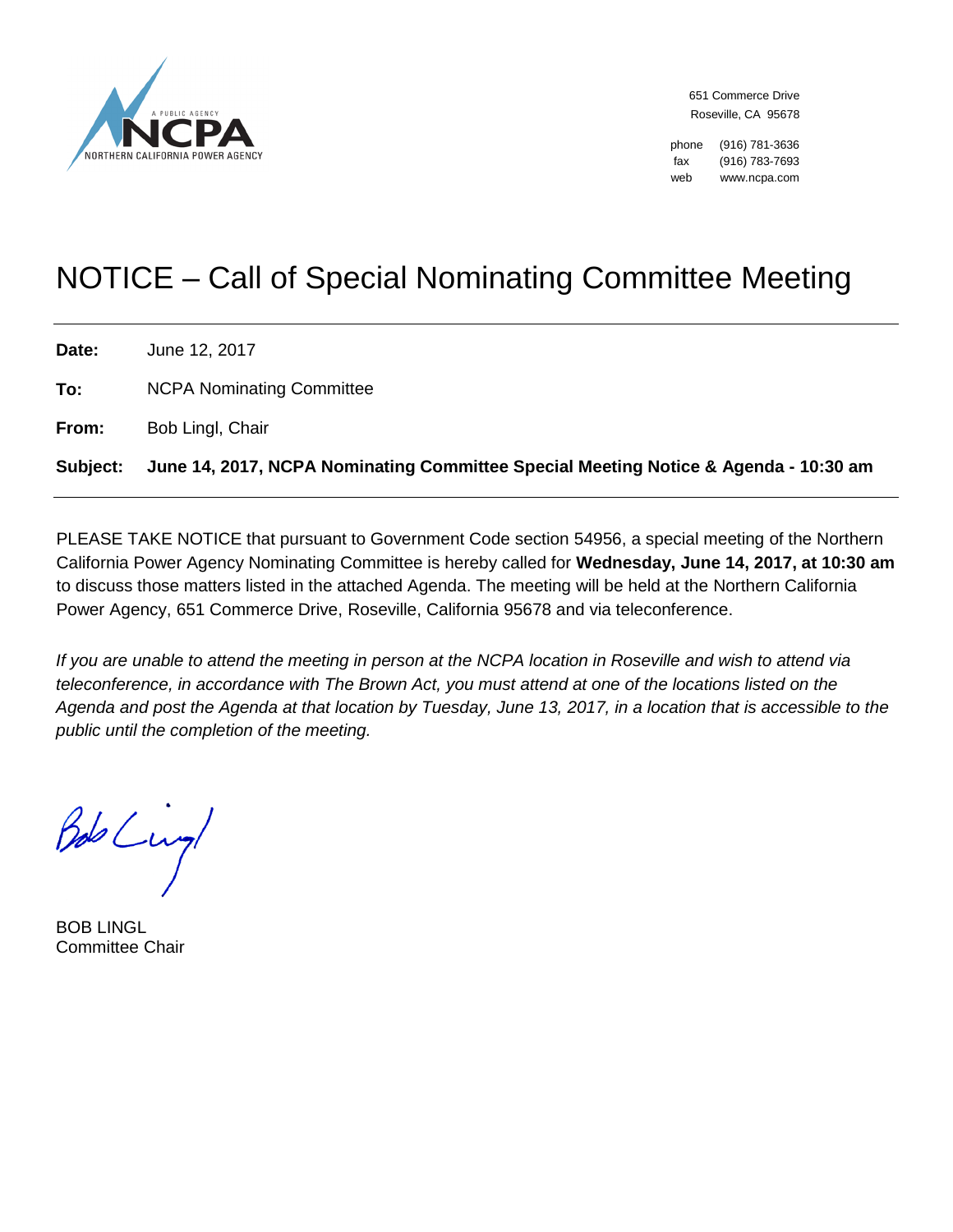

651 Commerce Drive Roseville, CA 95678

phone (916) 781-3636 fax (916) 783-7693 web www.ncpa.com

# NOTICE – Call of Special Nominating Committee Meeting

| Date:    | June 12, 2017                                                                       |
|----------|-------------------------------------------------------------------------------------|
| To:      | <b>NCPA Nominating Committee</b>                                                    |
| From:    | Bob Lingl, Chair                                                                    |
| Subject: | June 14, 2017, NCPA Nominating Committee Special Meeting Notice & Agenda - 10:30 am |

PLEASE TAKE NOTICE that pursuant to Government Code section 54956, a special meeting of the Northern California Power Agency Nominating Committee is hereby called for **Wednesday, June 14, 2017, at 10:30 am** to discuss those matters listed in the attached Agenda. The meeting will be held at the Northern California Power Agency, 651 Commerce Drive, Roseville, California 95678 and via teleconference.

*If you are unable to attend the meeting in person at the NCPA location in Roseville and wish to attend via teleconference, in accordance with The Brown Act, you must attend at one of the locations listed on the Agenda and post the Agenda at that location by Tuesday, June 13, 2017, in a location that is accessible to the public until the completion of the meeting.*

Bob Lungl

BOB LINGL Committee Chair